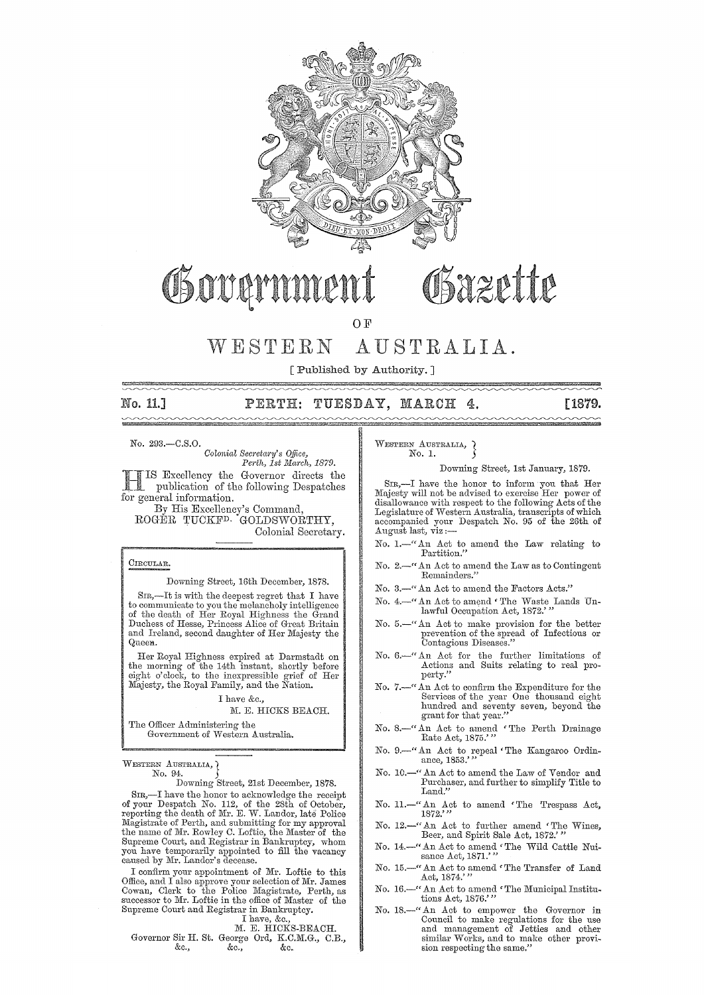

## Osazette Governn

O<sub>F</sub>

## WESTERN AUSTRALIA.

[Published by Authority. ]

### No. **11.]** TUESDAY, MARCH **4.** [1879.

#### No. 293.-C.S.0.

*U&ii&P&* \* wc

*Oolonial Sec1'eta1'y's Office, PCl"th, 1st JjIa1'ch, 1879.*  Excellency the Governor directs the publication of the following Despatches for general information.

By His Excellency's Oommand, ROGER TUOKFD. GOIJDSWORTHY, Oolonial Secretary.

#### CIRCULAR.

Downing Street, 16th December, 1878.

SIR,—It is with the deepest regret that I have<br>to communicate to you the melancholy intelligence<br>of the death of Her Royal Highness the Grand<br>Duchess of Hesse, Princess Alice of Great Britain and Ireland, second daughter of Her Majesty the Queen.

Her Royal Highness expired at Darmstadt on the morning of the 14th instant, shortly before eight o'clock, to the inexpressible grief of Her Majesty, the Royal Family, and the Nation.

I have &c.,

#### M. E. HICKS BEACH.

The Officer Administering the Government of Western Australia.

#### WESTERN AUSTRALIA, ) No. 94.

Downing Street, 21st December, 1878.

SIR,-I have the honor to acknowledge the receipt of your Despatch No. 112, of the 28th of October, reporting the death of Mr. E. W. Landor, late Police Magistrate of Perth, and submitting for my approval<br>the name of Mr. Rowley C. Loftie, the Master of the<br>Supreme Court, and Registrar in Bankruptcy, whom<br>you have temporarily appointed to fill the vacancy<br>caused by Mr. Land

I confirm your appointment of Mr. Loftie to this Office, and I also approve your selection of Mr. James Cowan, Clerk to the Police Magistrate, Perth, as successor to Mr. Loftie in the office of Master of the Supreme Court and Registrar in Bankruptcy.

#### I have, &c., M. E. HICKS-BEACH.

Governor Sir H. St. George Ord, K.C.M.G., C.B., &c., &c.

WESTERN AUSTRALIA, } No. 1.

#### Downing Street, 1st January, 1879.

SIR,—I have the honor to inform you that Her Majesty will not be advised to exercise Her power of disallowance with respect to the following Acts of the Legislature of Western Australia, transcripts of which accompanied your Despatch No. 95 of the 26th of August last, viz:-

- No. 1.-" An Act to amend the Law relating to Partition."
- No. 2.-" An Act to amend the Law as to Contingent Remainders."
- No. 3.-" An Act to amend the Factors Acts."
- No. 4.-" An Act to amend ' The Waste Lands Unlawful Occupation Act, 1872.'
- No. 5.-" An Act to make provision for the better prevention of the spread of Infectious or Contagious Diseases."
- No. 6.—" An Act for the further limitations of Actions and Suits relating to real property."
- No. 7.-" An Act to confirm the Expenditure for the Services of the year One thousand eight hundred and seventy seven, beyond the grant for that year."
- No. 8.—" An Act to amend 'The Perth Drainage Rate Act, 1875.'"
- No. 9.—"An Act to repeal 'The Kangaroo Ordinance, 1853.'"
- No. 10.-" An Act to amend the Law of Vendor and Purchaser, and further to simplify Title to Land."
- No. 11.—" An Act to amend 'The Trespass Act,  $1872$ ."
- No. 12.—" An Act to further amend 'The Wines, Beer, and Spirit Sale Act, 1872."
- No. 14.--" An Act to amend 'The Wild Cattle Nuissance Act, 1871.'"
- No. 15.—" An Act to amend 'The Transfer of Land Act, 1874.'"
- No. 16.-" An Act to amend 'The Municipal Institutions Act, 1876.''
- No. 18.-" An Act to empower the Governor in Council to make regulations for the use and management of Jetties and other similar Works, and to make other provi-sion respecting the same."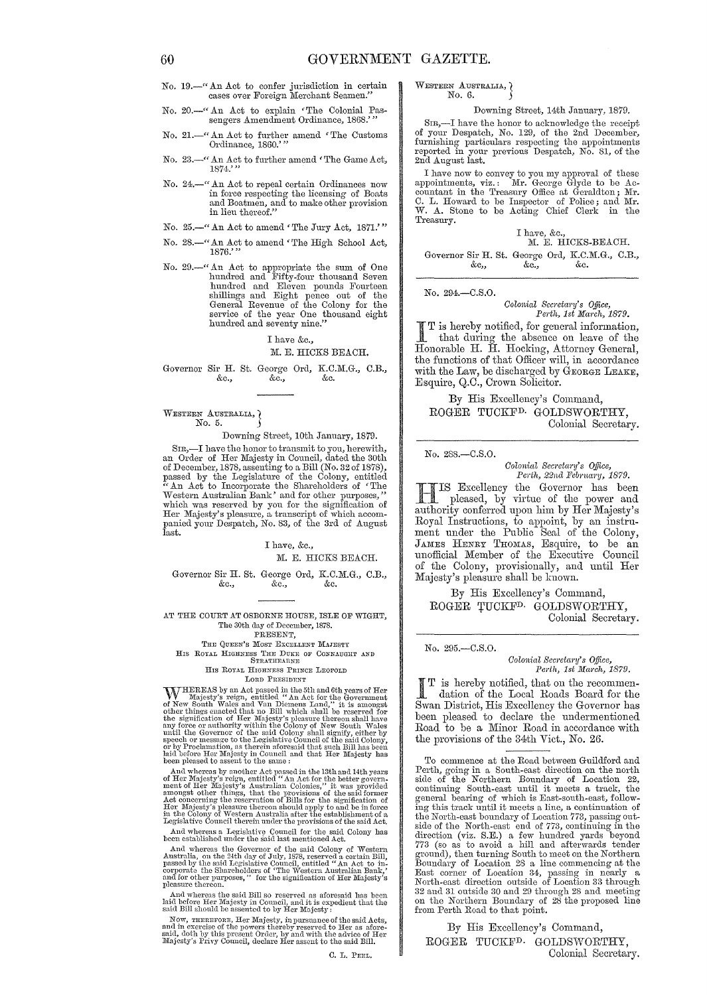- No. 19.-" An Act to confer jurisdiction in certain cases over Foreign Merchant Seamen."
- No. 20.-" An Act to explain <The Colonial Pas-sengers Amendment Ordinance, 1868.'''
- No. 21.—" An Act to further amend 'The Customs Ordinance, 1860.'"
- No. 23.-" An Act to further amend < The Game Act, 1874.'''
- No. 24.-" An Act to repeal certain Ordinances now in force respecting the licensing of Boats and Boatmen, and to make other provision in lieu thereof."
- No. 25.-" An Act to amend < The Jury Act, 1871.'''
- No. 28.—" An Act to amend 'The High School Act, 1876.'"
- No. 29.—" An Act to appropriate the sum of One<br>hundred and Fifty-four thousand Seven<br>hundred and Eleven pounds Fourteen<br>shillings and Eight pence out of the<br>General Revenue of the Colony for the<br>service of the year One tho

#### I have &c., M. E. HICKS BEACH.

Governor Sir H. St. George Ord, K.C.M.G., C.B., &c.  $&c.$ ,

WESTERN AUSTRALIA,  $\}$ No. 5.

Downing Street, lOth January, 1879.

SIR,-I have the honor to transmit to you, herewith, an Order of Her Majesty in Council, dated the 30th of December, 1878, assenting to a Bill (No. 32 of 1878), passed by the Legislature of the Colony, entitled "An Act to Incorporate the Shareholders of 'The Western Australian Bank' and for other purposes," which was reserve Her Majesty's pleasure, a transcript of which accom- panied your Despatch, No. 83, of the 3rd of August last.

> I have, &c., M. E. HICKS BEACH.

Governor Sir H. St. George Ord, K.C.M.G., C.B., &c., &c.  $&c_{\cdot}$ 

#### AT THE COURT AT OSBORNE HOUSE, ISLE OF WIGHT, The 30th day of December, 1878. PRESENT,

THE QUEEN'S MOST EXCELLENT MAJESTY

HIS ROYAL HIGHNESS THE DUKE OF CONNAUGHT AND<br>STRATHEARNE HIS ROYAL HIGHNESS PRINCE LEOPOLD

#### LORD PRESIDENT

W HEREAS by an Act passed in the 5th and 6th years of Her Majesty's reign, entitled "An Act for the Government of New South Wales and Van Diemens Land," it is amongst other things enacted that no Bill which shall be reser

And whereas by another Act passed in the 13th and 14th years of Her Majesty's reign, entitled "An Act for the better government of Her Majesty's Australian Colonies," it was provided amongst other things, that the provisi

And whereas a Legishtive Council for the said Colony has been established under the said last mentioned Act.

And whereas the Governor of the said Colony of Western Australia, on the 24th day of July, 1878, reserved a certain Bill, passed by the said Legislative Council, entitled "An Act to incorporate the Shareholders of 'The We

Ami whereas the said Bill so reserved as a<br>foresaid has been laid before Her Majesty in Council, and it is expedient that the<br>said Bill should be assented to by Her Majesty:

Now, THEREFORE, Her Majesty, in pursuance of the said Acts, and in exercise of the powers thereby reserved to Her as a<br>foresting said, doth by this present Order, by and with the advice of Her<br>Majesty's Privy Council, decl

#### WESTERN AUSTRALIA,  $\lambda$ No. 6.

#### Downing Street, 14th January, 1879.

SIR,-I have the honor to acknowledge the receipt of your Despatch, No. 129, of the 2nd December, furnishing particulars respecting' the appointments reported in your previous Despatch, No. 81, of the 2nd August last.

I have now to convey to you my approval of these<br>appointments, viz.: Mr. George Glyde to be Ac-<br>countant in the Treasury Office at Geraldton; Mr.<br>C. L. Howard to be Inspector of Police; and Mr.<br>W. A. Stone to be Acting Chi Treasury.

I have, &c.,<br>M. E. HICKS-BEACH. Governor Sir H. St. George Ord, K.C.M.G., C.B., &c" &c., &c.

#### No. 294.-C.S.0.

*Colonial Secretary's Office,*<br>Perth, 1st March, 1879.

I T is hereby notified, for general information, that during the absence on leave of the Honorable H. H. Hocking, Attorney General, the functions of that Officer will, in accordance with the Law, be discharged by GEORGE LEAKE, Esquire, Q.C., Crown Solicitor.

By His Excellency's Command, ROGER TUCKFD. GOLDSWORTHY, Colonial Secretary.

No. 288.-C.S.0.

*Oolonial Secretary's Office, Perth, 22nd February, 1879.* 

**HIS Excellency the Governor has been**<br>pleased, by virtue of the power and<br>authority conformed upon him by Hou Mejosty's authority conferred upon him by Her Majesty's Royal Instructions, to appoint, by an instrument under the Public Seal of the Colony, JAMES HENRY THOMAS, Esquire, to be an unofficial Member of the Executive Council of the Colony, provisionally, and until Her Majesty's pleasure shall be known.

By His Excellency's Command, ROGER TUCKF<sup>D.</sup> GOLDSWORTHY, Colonial Secretary.

#### No. 295.-C.S.O.

*Oolonial Sec)'ciary's* Office, *Peith, 1st Mm'ch, 1879.* 

I T is hereby notified, that on the recommendation of the Local Roads Board for the Swan District, His Excellency the Governor has been pleased to declare the undermentioned Road to be a Minor Road in accordance with the provisions of the 34th Vict., No. 26.

To commence at the Road between Guildford and<br>Perth, going in a South-east direction on the north<br>side of the Northern Boundary of Location 22,<br>continuing South-east until it meets a track, the<br>general bearing of which is the North-east boundary of Location 773, passing out-<br>side of the North-east end of 773, continuing in the<br>direction (viz. S.E.) a few hundred yards beyond<br>773 (so as to avoid a hill and afterwards tender ground), then turning South to meet on the Northeru Boundary of Location 28 a line commencing at the East corner of Location 34, passing in nearly a North-east direction outside of Location 33 through 32 and 31 outside 30 and 29 through 28 and meeting on the Northern Boundary of 28 the proposed line from Perth Road to that point.

By His Excellency's Command, ROGER TUCKFD. GOLDSWORTHY, Colonial Secretary.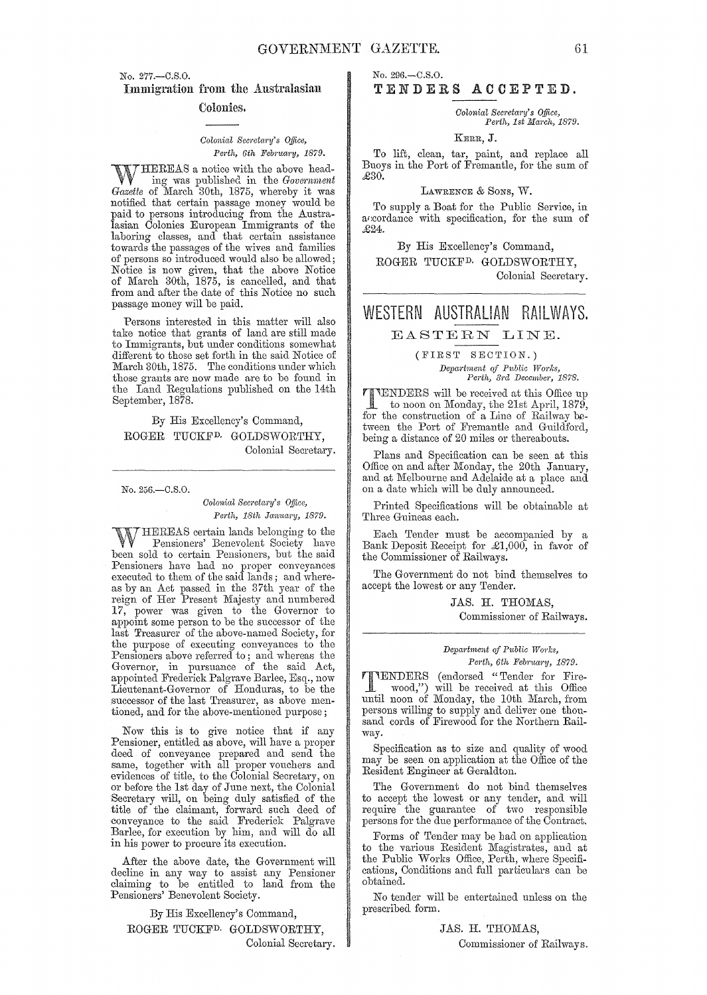No. 277.-C.S.O.

Immigration from the Australasian Colonies.

#### *Colonial Secretary's Office,* Perth, 6th February, 1879.

WHEREAS a notice with the above head-<br>ing was published in the *Government*<br>Gazette of Marsh 30th, 1875, whereby it was *Gazette* of March 30th, 1875, whereby it was notified that certain passage money would be paid to persons introducing from the Australasian Colonies European Immigrants of the laboring classes, and that certain assistance towards the passages of the wives and families of persons so introduced would also be allowed; Notice is now given, that the above Notice of March 30th, 1875, is cancelled, and that from and after the date of this Notice no such passage money will be paid.

Persons interested in this matter will also take notice that grants of land are still made to Immigrants, but under conditions somewhat different to those set forth in the said Notice of March 30th, 1875. The conditions under which those grants are now made are to be found in the Land Regulations published on the 14th September, 1878.

By His Excellency's Command, ROGER TUCKFD. GOLDSWORTHY, Colonial Secretary.

No. 256.-C.S.O.

*Colonial Secretary's Office, Perth, 18th January, 1879.* 

WHEREAS certain lands belonging to the<br>
Pensioners' Benevolent Society have<br>
heaven and to certain Beneisners, but the gaid been sold to certain Pensioners, but the said Pensioners have had no proper conveyances executed to them of the said lands; and whereas by an Act passed in the 37th year of the reign of Her Present Majesty and numbered 17, power was given to the Governor to appoint some person to be the successor of the last Treasurer of the above-named Society, for the purpose of executing conveyances to the Pensioners above referred to; and whereas the Governor, in pursuance of the said Act, appointed Frederick Palgrave Bm'lee, Esq., now Lieutenant-Governor of Honduras, to be the successor of the last Treasurer, as above mentioned, and for the above-mentioned purpose;

Now this is to give notice that if any Pensioner, entitled as above, will have a proper deed of conveyance prepared and send the same, together with all proper vouchers and evidences of title, to the Colonial Secretary, on or before the 1st day of June next, the Colonial or before the 1st day of June next, the Colonial Secretary will, on being duly satisfied of the title of the claimant, forward such deed of 'Conveyance to the said Frederick Palgrave Barlee, for execution by him, and will do all in his power to procure its execution.

After the above date, the Government will decline in any way to assist any Pensioner claiming to be entitled to land from the Pensioners' Benevolent Society.

By His Excellency's Command, ROGER TUCKF<sup>D.</sup> GOLDSWORTHY, Colonial Secretary.

#### No. 296.-C.S.O. TENDERS ACCEPTED.

*Colonial Secretary's Office, Perth, 1st March, 1879.* 

KERR, J.

To lift, clean, tar, paint, and replace all Buoys in the Port of Fremantle, for the sum of £30.

LAWRENCE & SONS, W.

To supply a Boat for the Public Service, in accordance with specification, for the sum of £24.

By His Excellency's Command, ROGER TUCKFD, GOLDSWORTHY, Colonial Secretary.

## WESTERN AUSTRALIAN RAILWAYS.

EASTERN LINE.

(FIRST SECTION.) *Department of Public Works,*<br> *Perth, 3rd December, 1878.* 

TENDERS will be received at this Office up<br>to noon on Monday, the 21st April, 1879,<br> $f_{\text{tot}}$ , the construction of a Line of Billyanda, for the construction of a Line of Railway between the Port of Fremantle and Guildford, being a distance of 20 miles or thereabouts.

Plans and Specification can be seen at this Office on and after Monday, the 20th January, and at Melbourne and Adelaide at a place and on a date which will be duly announced.

Printed Specifications will be obtainable at Three Guineas each.

Each Tender must be accompanied by a Bank Deposit Receipt for £1,000, in favor of the Commissioner of Railways.

The Government do not bind themselves to accept the lowest or any Tender.

> JAS. H. THOMAS, Commissioner of Railways.

#### *Department of Public Works, Pel'th, 6th Febntary, 1879.*

 $\begin{bmatrix} \text{TENDERS} \end{bmatrix}$  (endorsed "Tender for Fire-<br>wood.") will be week wood,") will be received at this Office until noon of Monday, the 10th March, from persons willing to supply and deliver one thousand cords of Firewood for the Northern Railway.

Specification as to size and quality of wood may be seen on application at the Office of the Resident Engineer at Geraldton.

The Government do not bind themselves to accept the lowest or any tender, and will require the guarantee of two responsible persons for the due performance of the Contract.

Forms of Tender may be bad on application to the various Resident Magistrates, and at the Public Works Office, Perth, where Specifications, Conditions and full particulars can be obtained.

No tender will be entertained unless on the prescribed form.

> JAS. H. THOMAS, Commissioner of Railways.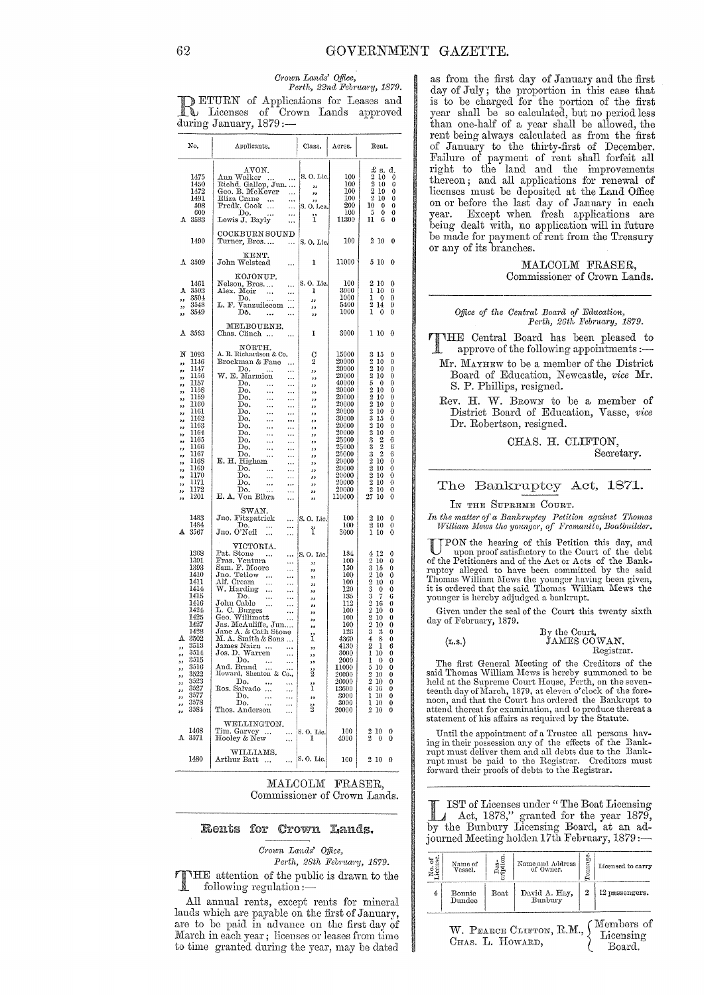# Crown Lands' Office,<br>Perth, 22nd February, 1879.

DETURN of Applications for Leases and<br> **R** Licenses of Crown Lands approved during January, 1879 :-

| No.                                                                                                                                                                                                                                                                                                                             | Applicants.                                                                                                                                                                                                                                                                                                                                                                                                                                                                                                                                                                                                                                                                                                                                                                                | Class.                                                                                                                                                                  | Acres.                                                                                                                                                                                                           | Rent.                                                                                                                                                                                                                                                                                                                                                                                                                                                                                                                                                               |
|---------------------------------------------------------------------------------------------------------------------------------------------------------------------------------------------------------------------------------------------------------------------------------------------------------------------------------|--------------------------------------------------------------------------------------------------------------------------------------------------------------------------------------------------------------------------------------------------------------------------------------------------------------------------------------------------------------------------------------------------------------------------------------------------------------------------------------------------------------------------------------------------------------------------------------------------------------------------------------------------------------------------------------------------------------------------------------------------------------------------------------------|-------------------------------------------------------------------------------------------------------------------------------------------------------------------------|------------------------------------------------------------------------------------------------------------------------------------------------------------------------------------------------------------------|---------------------------------------------------------------------------------------------------------------------------------------------------------------------------------------------------------------------------------------------------------------------------------------------------------------------------------------------------------------------------------------------------------------------------------------------------------------------------------------------------------------------------------------------------------------------|
| 1475<br>1450<br>1472<br>1491<br>598<br>600<br>3583<br>А                                                                                                                                                                                                                                                                         | AVON.<br>Ann Walker<br>$\ldots$<br>Richd. Gallop, Jun.   <br>Geo. B. McKever   <br>$\sim$<br>Eliza Crane<br>$\ldots$<br>$\ldots$<br>Fredk. Cook<br>$\ldots$<br>άú,<br>Do.<br>$\ddotsc$<br>$\ddotsc$<br>Lewis J. Bayly                                                                                                                                                                                                                                                                                                                                                                                                                                                                                                                                                                      | S.O. Lic.<br>,,<br>,,<br>,,<br>S.O.Lea.<br>ï                                                                                                                            | 100<br>100<br>100<br>100<br>200<br>100<br>11300                                                                                                                                                                  | £ s.<br>đ.<br>2<br>10<br>0<br>2<br>0<br>10<br>2<br>10<br>0<br>$\boldsymbol{2}$<br>10<br>0<br>10<br>$\bf{0}$<br>0<br>5<br>0<br>0<br>6<br>11<br>0                                                                                                                                                                                                                                                                                                                                                                                                                     |
| 1490                                                                                                                                                                                                                                                                                                                            | $\ddotsc$<br>COCKBURN SOUND<br>Turner, Bros<br>$\ldots$                                                                                                                                                                                                                                                                                                                                                                                                                                                                                                                                                                                                                                                                                                                                    | S. O. Lie.                                                                                                                                                              | 100                                                                                                                                                                                                              | 210<br>0                                                                                                                                                                                                                                                                                                                                                                                                                                                                                                                                                            |
| A 3509                                                                                                                                                                                                                                                                                                                          | KENT.<br>John Welstead<br>                                                                                                                                                                                                                                                                                                                                                                                                                                                                                                                                                                                                                                                                                                                                                                 | ı                                                                                                                                                                       | 11000                                                                                                                                                                                                            | 5 10<br>0                                                                                                                                                                                                                                                                                                                                                                                                                                                                                                                                                           |
| 1461<br>A<br>3503<br>3504<br>,,<br>3548<br>,,<br>3549<br>39                                                                                                                                                                                                                                                                     | KOJONUP.<br>Nelson, Bros<br><br>Alex. Moir<br>$\cdots$<br>$\ldots$<br>Do.<br>$\ddotsc$<br>$\ldots$<br>L. F. Vanzuilecom<br>Do.<br><br><br>MELBOURNE.                                                                                                                                                                                                                                                                                                                                                                                                                                                                                                                                                                                                                                       | S.O. Lic.<br>ı<br>,,<br>,,<br>,,                                                                                                                                        | 100<br>3000<br>1000<br>5400<br>1000                                                                                                                                                                              | 0<br>2<br>10<br>1<br>10<br>0<br>1<br>0<br>0<br>$\overline{2}$<br>14<br>0<br>1<br>0<br>0                                                                                                                                                                                                                                                                                                                                                                                                                                                                             |
| 3563<br>А                                                                                                                                                                                                                                                                                                                       | Chas. Clinch                                                                                                                                                                                                                                                                                                                                                                                                                                                                                                                                                                                                                                                                                                                                                                               | ı                                                                                                                                                                       | 3000                                                                                                                                                                                                             | 110<br>0                                                                                                                                                                                                                                                                                                                                                                                                                                                                                                                                                            |
| N<br>1093<br>1146<br>,,<br>1147<br>,,<br>1156<br>,,<br>1157<br>,,<br>1158<br>,,<br>1159<br>,,<br>1160<br>,,<br>1161<br>,,<br>1162<br>,,<br>1163<br>,,<br>1164<br>,,<br>1165<br>,,<br>1166<br>,,<br>1167<br>,,<br>1168<br>,,<br>1169<br>,,<br>1170<br>,,<br>1171<br>,,<br>1172<br>,,<br>1201<br>,,<br>1483<br>1484<br>3567<br>A. | NORTH.<br>A. R. Richardson & Co.<br>Brockman & Fane<br>$\ldots$<br>Do.<br>$\overline{\phantom{a}}$<br>$\ldots$<br>W. E. Marmion<br>$\ldots$<br>Do.<br>$\ldots$<br>$\ldots$<br>Do.<br><br>$\ldots$<br>Do.<br>$\ldots$<br>$\ldots$<br>Do.<br>$\ldots$<br>$\ldots$<br>Do.<br>$\ldots$<br>$\ldots$<br>Do,<br>$\ldots$<br>$\cdots$<br>Do.<br>$\cdots$<br>$\ldots$<br>Do.<br>$\cdots$<br>$\ddotsc$<br>Do.<br>$\ldots$<br>$\cdots$<br>Do.<br>$\ldots$<br>$\ldots$<br>Do.<br>$\cdots$<br>$\cdots$<br>E. H. Higham<br>$\ldots$<br>Do.<br>$\ddotsc$<br>$\ldots$<br>Do.<br><br>$\ldots$<br>Do.<br>$\ddotsc$<br>$\cdots$<br>Do.<br>$\ddotsc$<br>$\ddotsc$<br>E. A. Von Bibra<br><br>$_{\rm SWAN.}$<br>Jno. Fitzpatrick<br>$\cdots$<br>Do.<br>$\ldots$<br><br>Jno. O'Neil<br>$\ddotsc$<br><br>VICTORIA. | С<br>$\overline{2}$<br>,,<br>,,<br>,,<br>,,<br>,,<br>,,<br>,,<br>,,<br>و و<br>33<br>,,<br>,,<br>$^{\tiny{3}}$<br>,,<br>,,<br>,,<br>,,<br>,,<br>,,<br>$ S. 0.$ Lie.<br>ï | 15000<br>20000<br>20000<br>20000<br>40000<br>20000<br>20000<br>20000<br>20000<br>30000<br>20000<br>20000<br>25000<br>25000<br>25000<br>20000<br>20000<br>20000<br>20000<br>20000<br>110000<br>100<br>100<br>3000 | 15<br>0<br>3<br>$\boldsymbol{2}$<br>10<br>0<br>$\overline{2}$<br>10<br>0<br>$\overline{2}$<br>10<br>0<br>5<br>0<br>0<br>$\overline{2}$<br>0<br>10<br>$\begin{smallmatrix}2\2\2\3\end{smallmatrix}$<br>0<br>10<br>0<br>10<br>0<br>10<br>0<br>15<br>$\frac{2}{2}$<br>0<br>10<br>0<br>10<br>3<br>2<br>6<br>ż<br>$\overline{2}$<br>6<br>3<br>$\overline{2}$<br>6<br>210<br>0<br>$\overline{2}$<br>0<br>10<br>$\overline{2}$<br>0<br>10<br>$\rm 2$<br>0<br>10<br>$\overline{2}$<br>0<br>10<br>27<br>10<br>0<br>2<br>10<br>0<br>$\overline{2}$<br>10<br>0<br>ı<br>10<br>0 |
| 1368<br>1391<br>1393<br>1410<br>1411<br>1414<br>1415<br>1416<br>1424<br>1425<br>1427<br>1428<br>A. 3502<br>3513<br>13<br>3514<br>IJ<br>3515<br>J<br>3516<br>ı,<br>3522<br>ı,<br>3523<br>ı,<br>3527<br>ı,<br>3577<br>ı,<br>3578<br>ı,<br>3584<br>,                                                                               | Pat. Stone<br>$\cdots$<br>Fras. Ventura<br><br>Sam. F. Moore<br>Jno. Tetlow<br><br>$\cdots$<br>$\ddotsc$<br>Alf. Cream<br>$\ldots$<br>$\cdots$<br>W. Harding<br>$\ldots$<br>$\cdots$<br>Do.<br>$\ddotsc$<br>$\ldots$<br>John Cable<br>$\cdots$<br>John Cable<br>L. C. Burges<br>Geo. Willimott<br>Les Midarliss<br>$\ldots$<br>$\ldots$<br>Jas. McAuliffe, Jun<br>Jane A. & Cath Stone<br>M.A. Smith & Sons<br>James Nairn<br>$\cdots$<br>Jos. D. Warren<br>$\cdots$<br>Do.<br><br>And. Brand<br>Howard, Shenton & Co.,<br>Do.<br><br>$\ddotsc$<br>Ros. Salvado<br><br><br>Do.<br>$\cdots$<br><br>Do.<br><br><br>Thos. Anderson<br><br>WELLINGTON.                                                                                                                                         | S. O. Lie.<br>,<br>,,<br>53<br>,,<br>,,<br>,,<br>$, \,$<br>,,<br>,,<br>وو<br>ï<br>,,<br>,,<br>$\ddot{\phantom{0}}$<br>ë<br>ï<br>,,<br>ដូ                                | 184<br>100<br>150<br>100<br>100<br>120<br>135<br>112<br>100<br>100<br>100<br>126<br>4360<br>4130<br>3000<br>2000<br>11000<br>20000<br>20000<br>13600<br>3000<br>3000<br>20000                                    | $4\,12$<br>0<br>2<br>10<br>0<br>$\frac{3}{2}$<br>15<br>0<br>0<br>10<br>0<br>10<br>$\begin{smallmatrix} 3\ 3\ 2 \end{smallmatrix}$<br>0<br>0<br>6<br>7<br>16<br>0<br>$\bar{2}$<br>0<br>10<br>$\bar{2}$<br>0<br>10<br>$\bar{2}$<br>0<br>10<br>3<br>-3<br>0<br>$\bf{0}$<br>4<br>8<br>6<br>2<br>1<br>ı<br>0<br>10<br>1<br>0<br>0<br>510<br>0<br>$2\,10$<br>0<br>210<br>0<br>6 16<br>0<br>1 10<br>0<br>1 10<br>0<br>$2\,$ $10$<br>0                                                                                                                                      |
| 1468<br>A.<br>3571                                                                                                                                                                                                                                                                                                              | Tim. Garvey<br><br>Hooley & New<br><br>WILLIAMS.                                                                                                                                                                                                                                                                                                                                                                                                                                                                                                                                                                                                                                                                                                                                           | S. O. Lic.<br>1                                                                                                                                                         | 100<br>4000                                                                                                                                                                                                      | 10<br>0<br>2<br>2<br>0<br>0                                                                                                                                                                                                                                                                                                                                                                                                                                                                                                                                         |
| 1480                                                                                                                                                                                                                                                                                                                            | Arthur Batt<br>$\ddotsc$<br>                                                                                                                                                                                                                                                                                                                                                                                                                                                                                                                                                                                                                                                                                                                                                               | S. O. Lic.                                                                                                                                                              | 100                                                                                                                                                                                                              | $_{2\ 10}$<br>0                                                                                                                                                                                                                                                                                                                                                                                                                                                                                                                                                     |

MALCOLM FRASER. Commissioner of Crown Lands.

#### Rents for Crown Lands.

Crown Lands' Office,

Perth, 28th February, 1879.

**TIME** attention of the public is drawn to the following regulation  $:-$ 

All annual rents, except rents for mineral lands which are payable on the first of January, are to be paid in advance on the first day of March in each year; licenses or leases from time to time granted during the year, may be dated

as from the first day of January and the first day of July; the proportion in this case that is to be charged for the portion of the first year shall be so calculated, but no period less than one-half of a year shall be allowed, the rent being always calculated as from the first of January to the thirty-first of December.<br>Failure of payment of rent shall forfeit all right to the land and the improvements thereon; and all applications for renewal of licenses must be deposited at the Land Office on or before the last day of January in each Except when fresh applications are vear. being dealt with, no application will in future be made for payment of rent from the Treasury or any of its branches.

> MALCOLM FRASER, Commissioner of Crown Lands.

#### Office of the Central Board of Education, Perth, 26th February, 1879.

THE Central Board has been pleased to approve of the following appointments :-Mr. MAYHEW to be a member of the District

Board of Education, Newcastle, vice Mr. S. P. Phillips, resigned.

Rev. H. W. BROWN to be a member of District Board of Education, Vasse, vice Dr. Robertson, resigned.

> CHAS. H. CLIFTON. Secretary.

#### The Bankruptcy Act, 1871.

IN THE SUPREME COURT.

In the matter of a Bankruptcy Petition against Thomas<br>William Mews the younger, of Fremantle, Boatbuilder.

UPON the hearing of this Petition this day, and<br>upon proof satisfactory to the Court of the debt<br>of the Petitioners and of the Act or Acts of the Bankor and runtey alleged to have been committed by the said<br>Thomas William Mews the younger having been given, it is ordered that the said Thomas William Mews the younger is hereby adjudged a bankrupt.

Given under the seal of the Court this twenty sixth day of February, 1879.

|        | By the Court. |
|--------|---------------|
| (L.s.) | JAMES COWAN.  |
|        | Registrar.    |

The first General Meeting of the Creditors of the said Thomas William Mews is hereby summoned to be held at the Supreme Court House, Perth, on the seventeenth day of March, 1879, at eleven o'clock of the forenoon, and that attend thereat for examination, and to produce thereat a statement of his affairs as required by the Statute.

Until the appointment of a Trustee all persons having in their possession any of the effects of the Bank-<br>rupt must deliver them and all debts due to the Bank-<br>rupt must be paid to the Registrar. Creditors must forward their proofs of debts to the Registrar.

IST of Licenses under "The Boat Licensing A Act, 1878," granted for the year 1879, by the Bunbury Licensing Board, at an adjourned Meeting holden 17th February, 1879 :-

| No. of<br>demse.                                                                  | Name of<br>Vessel. | Des<br>bitor | Name and Address<br>of Owner. | Fonnage | Licensed to carry |  |  |  |  |  |
|-----------------------------------------------------------------------------------|--------------------|--------------|-------------------------------|---------|-------------------|--|--|--|--|--|
| 4                                                                                 | Bonnie<br>Dundee   | Boat         | David A. Hay,<br>Bunbury      | 2       | 12 passengers.    |  |  |  |  |  |
| Members of<br>W. PEARCE CLIFTON, R.M.,<br>Licensing<br>CHAS. L. HOWARD,<br>Board. |                    |              |                               |         |                   |  |  |  |  |  |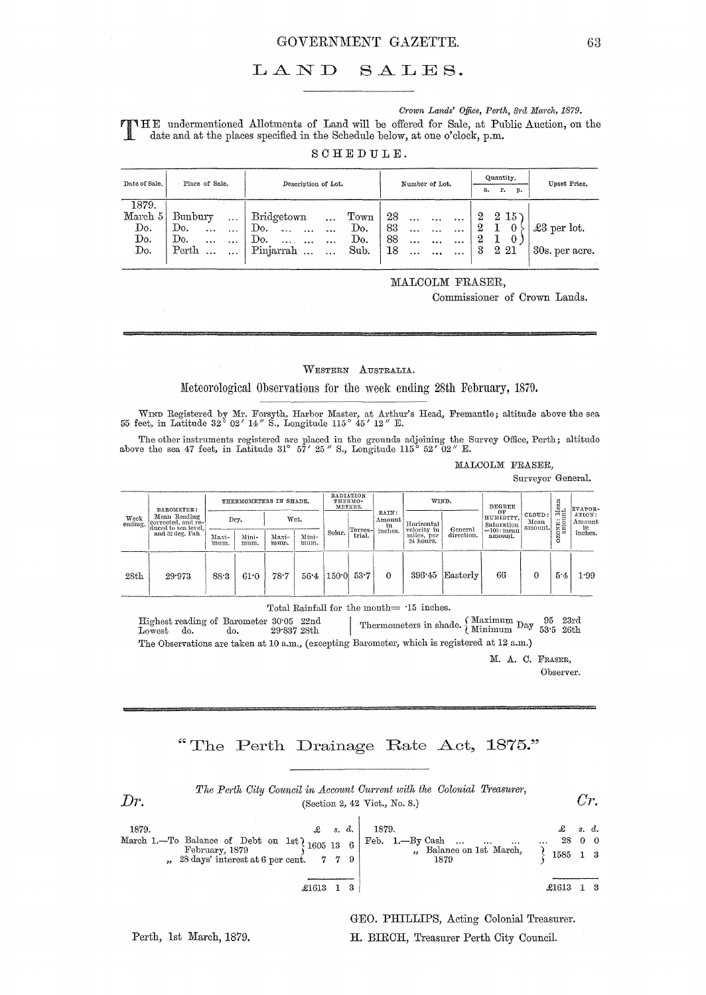#### GOVERNMENT GAZETTE.

#### $L A N D$  $SALES.$

#### Crown Lands' Office, Perth, 3rd March, 1879.

TIME undermentioned Allotments of Land will be offered for Sale, at Public Auction, on the date and at the places specified in the Schedule below, at one o'clock, p.m.

SCHEDULE.

| Date of Sale. | Place of Sale.                | Description of Lot.  |            |                       |           | Number of Lot. |    |           |           | Quantity.<br>r.<br>p.<br>a. |   |         | Upset Price. |                     |
|---------------|-------------------------------|----------------------|------------|-----------------------|-----------|----------------|----|-----------|-----------|-----------------------------|---|---------|--------------|---------------------|
| 1879.         |                               |                      |            |                       |           |                |    |           |           |                             |   |         |              |                     |
| March 5       | $B$ un $b$ ur $\triangledown$ | $\sim$ $\sim$ $\sim$ | Bridgetown |                       | $\ddotsc$ | $_{\rm{Town}}$ | 28 | $\ddotsc$ |           |                             |   |         | 215          |                     |
| Do.           | Do.<br>$\ddotsc$              | $\cdots$             | Do.        | $\sim$ .<br>$\cdots$  | $\cdots$  | Do.            | 83 | $\ddotsc$ | $\ddotsc$ | $\cdots$                    | 2 |         |              | $\pounds3$ per lot. |
| Do.           | Do.<br>$\cdots$               | $\cdots$             | Do.        | $\ddotsc$<br>$\cdots$ | $\cdots$  | Do.            | 88 | $\cdots$  |           |                             | 2 |         |              |                     |
| Do.           | Perth                         | $\ddotsc$            | Pinjarrah  | $\sim$                | $\cdots$  | Sub.           | 18 | $\cdots$  | $\cdots$  | $\cdots$                    | 3 | $2\,21$ |              | 30s. per acre.      |
|               |                               |                      |            |                       |           |                |    |           |           |                             |   |         |              |                     |

MALCOLM FRASER,

Commissioner of Crown Lands.

#### WESTERN AUSTRALIA.

Meteorological Observations for the week ending 28th February, 1879.

WIND Registered by Mr. Forsyth, Harbor Master, at Arthur's Head, Fremantle; altitude above the sea 55 feet, in Latitude 32° 02' 14" S., Longitude 115° 45' 12" E.

The other instruments registered are placed in the grounds adjoining the Survey Office, Perth; altitude above the sea 47 feet, in Latitude 31° 57' 25" S., Longitude 115° 52' 02" E.

MALCOLM FRASER,

Surveyor General.

| Week<br>ending. | BAROMETER:<br>Mean Reading<br>corrected, and re-<br>duced to sea level.<br>and 32 deg. Fah. | THERMOMETERS IN SHADE. |               |               |               | RADIATION<br>THERMO-<br>METERS. |         |                       | WIND.                     |            | DEGREE                                         |                           |                 | EVAPOR-                |
|-----------------|---------------------------------------------------------------------------------------------|------------------------|---------------|---------------|---------------|---------------------------------|---------|-----------------------|---------------------------|------------|------------------------------------------------|---------------------------|-----------------|------------------------|
|                 |                                                                                             |                        | Dry.          |               | Wet.          |                                 | Terres- | RAIN:<br>Amount<br>in | Horizontal<br>velocity in | General    | ОF<br>HUMIDITY.<br>Saturation<br>$=100$ : mean | CLOUD:<br>Mean<br>amount. | ONE: Meramount. | ATION:<br>Amount<br>iņ |
|                 |                                                                                             | Maxi-<br>mum.          | Mini-<br>mum. | Maxi-<br>mum. | Mini-<br>mum. | Solar.                          | trial.  | inches.               | miles, per<br>24 hours.   | direction. | amount.                                        |                           | ö               | inches.                |
| 28th            | 29.973                                                                                      | 88.3                   | 61.0          | 78.7          | $56 - 4$      | 150.0                           | 53.7    | $\Omega$              | 396.45                    | Easterly   | 66                                             | 0                         | 5.4             | 1.99                   |

Total Rainfall for the month=  $\, \cdot 15 \,$  inches.

 $\begin{tabular}{|p{0.8em}p{0.8em}|} \hline The  
mometers in shade. \begin{tabular}{|p{0.8em}|} \hline Maximum Day & 95 & 23rd \\ Minimum Day & 53:5 & 26th \\ \hline \end{tabular}$ Highest reading of Barometer 30.05 22nd  $29^{\circ}837$ 28th  $Lowest$  do. do. The Observations are taken at 10 a.m., (excepting Barometer, which is registered at 12 a.m.)

> M. A. C. FRASER, Observer.

## "The Perth Drainage Rate Act, 1875."



GEO. PHILLIPS, Acting Colonial Treasurer. H. BIRCH, Treasurer Perth City Council.

Perth, 1st March, 1879.